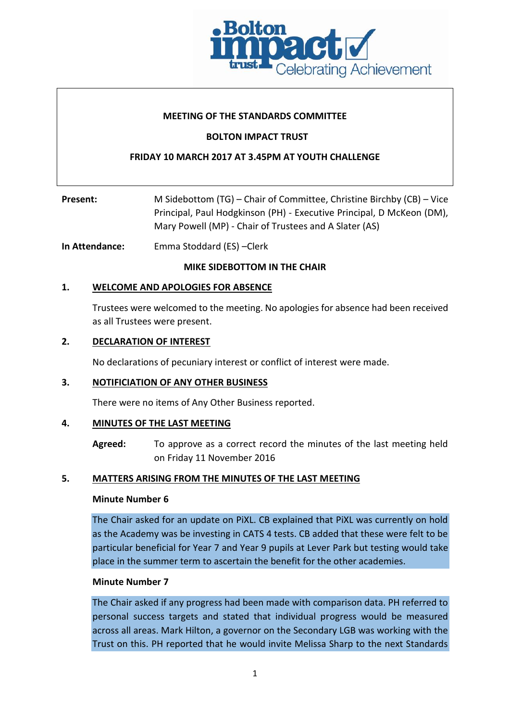

# **MEETING OF THE STANDARDS COMMITTEE**

# **BOLTON IMPACT TRUST**

# **FRIDAY 10 MARCH 2017 AT 3.45PM AT YOUTH CHALLENGE**

| Present: | M Sidebottom (TG) – Chair of Committee, Christine Birchby (CB) – Vice |  |
|----------|-----------------------------------------------------------------------|--|
|          | Principal, Paul Hodgkinson (PH) - Executive Principal, D McKeon (DM), |  |
|          | Mary Powell (MP) - Chair of Trustees and A Slater (AS)                |  |

**In Attendance:** Emma Stoddard (ES) –Clerk

#### **MIKE SIDEBOTTOM IN THE CHAIR**

# **1. WELCOME AND APOLOGIES FOR ABSENCE**

Trustees were welcomed to the meeting. No apologies for absence had been received as all Trustees were present.

#### **2. DECLARATION OF INTEREST**

No declarations of pecuniary interest or conflict of interest were made.

## **3. NOTIFICIATION OF ANY OTHER BUSINESS**

There were no items of Any Other Business reported.

## **4. MINUTES OF THE LAST MEETING**

**Agreed:** To approve as a correct record the minutes of the last meeting held on Friday 11 November 2016

## **5. MATTERS ARISING FROM THE MINUTES OF THE LAST MEETING**

#### **Minute Number 6**

The Chair asked for an update on PiXL. CB explained that PiXL was currently on hold as the Academy was be investing in CATS 4 tests. CB added that these were felt to be particular beneficial for Year 7 and Year 9 pupils at Lever Park but testing would take place in the summer term to ascertain the benefit for the other academies.

#### **Minute Number 7**

The Chair asked if any progress had been made with comparison data. PH referred to personal success targets and stated that individual progress would be measured across all areas. Mark Hilton, a governor on the Secondary LGB was working with the Trust on this. PH reported that he would invite Melissa Sharp to the next Standards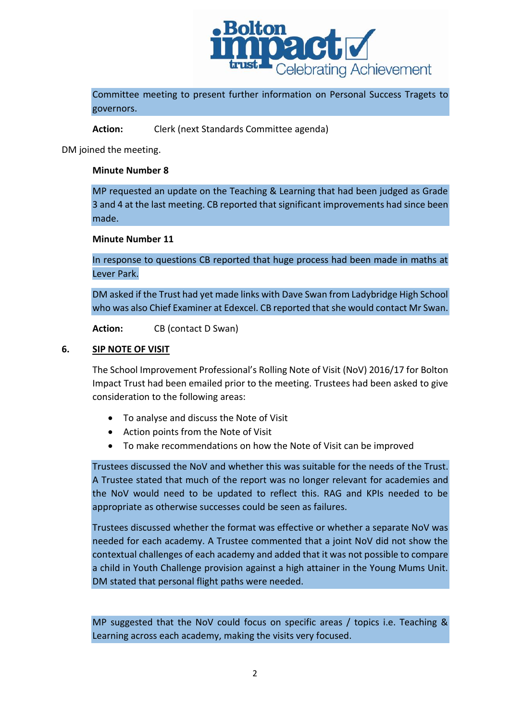

Committee meeting to present further information on Personal Success Tragets to governors.

**Action:** Clerk (next Standards Committee agenda)

DM joined the meeting.

#### **Minute Number 8**

MP requested an update on the Teaching & Learning that had been judged as Grade 3 and 4 at the last meeting. CB reported that significant improvements had since been made.

# **Minute Number 11**

In response to questions CB reported that huge process had been made in maths at Lever Park.

DM asked if the Trust had yet made links with Dave Swan from Ladybridge High School who was also Chief Examiner at Edexcel. CB reported that she would contact Mr Swan.

**Action:** CB (contact D Swan)

#### **6. SIP NOTE OF VISIT**

The School Improvement Professional's Rolling Note of Visit (NoV) 2016/17 for Bolton Impact Trust had been emailed prior to the meeting. Trustees had been asked to give consideration to the following areas:

- To analyse and discuss the Note of Visit
- Action points from the Note of Visit
- To make recommendations on how the Note of Visit can be improved

Trustees discussed the NoV and whether this was suitable for the needs of the Trust. A Trustee stated that much of the report was no longer relevant for academies and the NoV would need to be updated to reflect this. RAG and KPIs needed to be appropriate as otherwise successes could be seen as failures.

Trustees discussed whether the format was effective or whether a separate NoV was needed for each academy. A Trustee commented that a joint NoV did not show the contextual challenges of each academy and added that it was not possible to compare a child in Youth Challenge provision against a high attainer in the Young Mums Unit. DM stated that personal flight paths were needed.

MP suggested that the NoV could focus on specific areas / topics i.e. Teaching & Learning across each academy, making the visits very focused.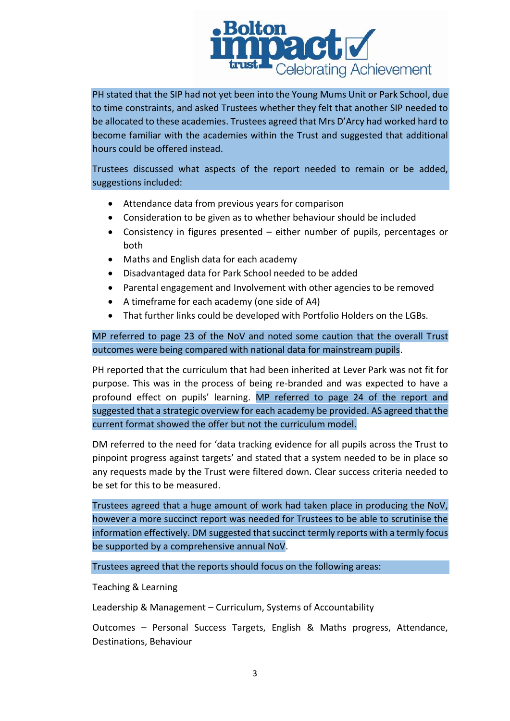

PH stated that the SIP had not yet been into the Young Mums Unit or Park School, due to time constraints, and asked Trustees whether they felt that another SIP needed to be allocated to these academies. Trustees agreed that Mrs D'Arcy had worked hard to become familiar with the academies within the Trust and suggested that additional hours could be offered instead.

Trustees discussed what aspects of the report needed to remain or be added, suggestions included:

- Attendance data from previous years for comparison
- Consideration to be given as to whether behaviour should be included
- Consistency in figures presented either number of pupils, percentages or both
- Maths and English data for each academy
- Disadvantaged data for Park School needed to be added
- Parental engagement and Involvement with other agencies to be removed
- A timeframe for each academy (one side of A4)
- That further links could be developed with Portfolio Holders on the LGBs.

MP referred to page 23 of the NoV and noted some caution that the overall Trust outcomes were being compared with national data for mainstream pupils.

PH reported that the curriculum that had been inherited at Lever Park was not fit for purpose. This was in the process of being re-branded and was expected to have a profound effect on pupils' learning. MP referred to page 24 of the report and suggested that a strategic overview for each academy be provided. AS agreed that the current format showed the offer but not the curriculum model.

DM referred to the need for 'data tracking evidence for all pupils across the Trust to pinpoint progress against targets' and stated that a system needed to be in place so any requests made by the Trust were filtered down. Clear success criteria needed to be set for this to be measured.

Trustees agreed that a huge amount of work had taken place in producing the NoV, however a more succinct report was needed for Trustees to be able to scrutinise the information effectively. DM suggested that succinct termly reports with a termly focus be supported by a comprehensive annual NoV.

Trustees agreed that the reports should focus on the following areas:

Teaching & Learning

Leadership & Management – Curriculum, Systems of Accountability

Outcomes – Personal Success Targets, English & Maths progress, Attendance, Destinations, Behaviour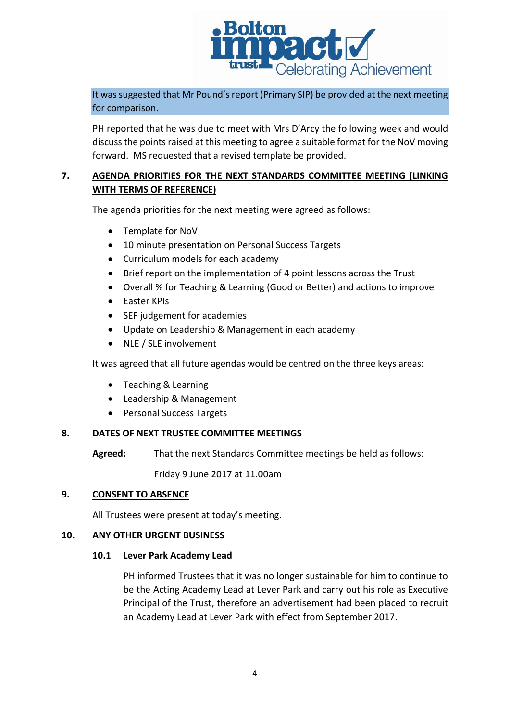

It was suggested that Mr Pound's report (Primary SIP) be provided at the next meeting for comparison.

PH reported that he was due to meet with Mrs D'Arcy the following week and would discuss the points raised at this meeting to agree a suitable format for the NoV moving forward. MS requested that a revised template be provided.

# **7. AGENDA PRIORITIES FOR THE NEXT STANDARDS COMMITTEE MEETING (LINKING WITH TERMS OF REFERENCE)**

The agenda priorities for the next meeting were agreed as follows:

- Template for NoV
- 10 minute presentation on Personal Success Targets
- Curriculum models for each academy
- Brief report on the implementation of 4 point lessons across the Trust
- Overall % for Teaching & Learning (Good or Better) and actions to improve
- Easter KPIs
- SEF judgement for academies
- Update on Leadership & Management in each academy
- NLE / SLE involvement

It was agreed that all future agendas would be centred on the three keys areas:

- Teaching & Learning
- Leadership & Management
- Personal Success Targets

## **8. DATES OF NEXT TRUSTEE COMMITTEE MEETINGS**

**Agreed:** That the next Standards Committee meetings be held as follows:

Friday 9 June 2017 at 11.00am

## **9. CONSENT TO ABSENCE**

All Trustees were present at today's meeting.

## **10. ANY OTHER URGENT BUSINESS**

## **10.1 Lever Park Academy Lead**

PH informed Trustees that it was no longer sustainable for him to continue to be the Acting Academy Lead at Lever Park and carry out his role as Executive Principal of the Trust, therefore an advertisement had been placed to recruit an Academy Lead at Lever Park with effect from September 2017.